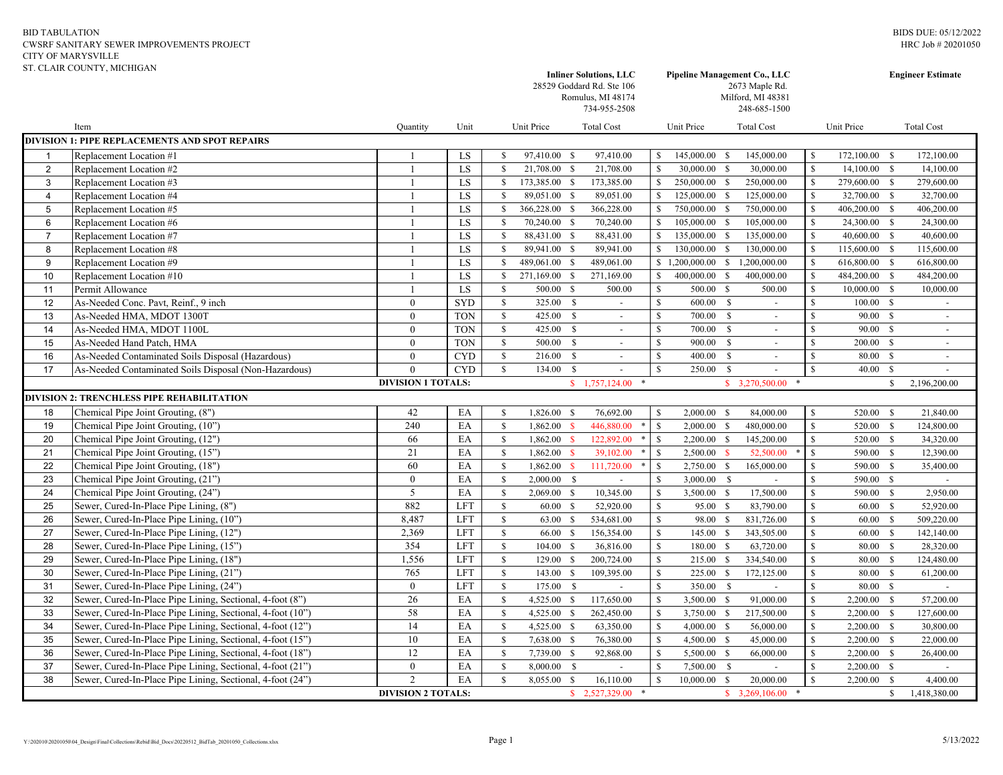## BID TABULATION CWSRF SANITARY SEWER IMPROVEMENTS PROJECT CITY OF MARYSVILLE ST. CLAIR COUNTY, MICHIGAN

|                                                                                     | ST. CLAIR COUNTY, MICHIGAN                                 |                           |            |                    |               |               | <b>Inliner Solutions, LLC</b><br>28529 Goddard Rd. Ste 106<br>Romulus, MI 48174<br>734-955-2508 | Pipeline Management Co., LLC<br>2673 Maple Rd.<br>Milford, MI 48381<br>248-685-1500 |                    |                                |               | <b>Engineer Estimate</b> |              |                   |  |
|-------------------------------------------------------------------------------------|------------------------------------------------------------|---------------------------|------------|--------------------|---------------|---------------|-------------------------------------------------------------------------------------------------|-------------------------------------------------------------------------------------|--------------------|--------------------------------|---------------|--------------------------|--------------|-------------------|--|
|                                                                                     | Item                                                       | Quantity                  | Unit       |                    | Unit Price    |               | <b>Total Cost</b>                                                                               |                                                                                     | Unit Price         | <b>Total Cost</b>              |               | Unit Price               |              | <b>Total Cost</b> |  |
|                                                                                     | <b>DIVISION 1: PIPE REPLACEMENTS AND SPOT REPAIRS</b>      |                           |            |                    |               |               |                                                                                                 |                                                                                     |                    |                                |               |                          |              |                   |  |
| $\overline{1}$                                                                      | Replacement Location #1                                    |                           | LS         | <sup>\$</sup>      | 97,410.00 \$  |               | 97,410.00                                                                                       |                                                                                     | 145,000.00 \$      | 145,000.00                     | \$            | 172,100.00 \$            |              | 172,100.00        |  |
| $\overline{2}$                                                                      | Replacement Location #2                                    | $\mathbf{1}$              | LS         | <sup>\$</sup>      | 21,708.00 \$  |               | 21,708.00                                                                                       | <sup>S</sup>                                                                        | 30,000.00 \$       | 30,000.00                      | $\mathbb S$   | $14,100.00$ \$           |              | 14,100.00         |  |
| 3                                                                                   | Replacement Location #3                                    | $\mathbf{1}$              | LS         | $\mathbf{s}$       | 173,385.00 \$ |               | 173,385.00                                                                                      | $\mathcal{S}$                                                                       | 250,000.00 \$      | 250,000.00                     | $\mathbb{S}$  | 279,600.00 \$            |              | 279,600.00        |  |
| $\overline{4}$                                                                      | Replacement Location #4                                    | $\mathbf{1}$              | LS         | \$                 | 89,051.00 \$  |               | 89,051.00                                                                                       | -S                                                                                  | 125,000.00 \$      | 125,000.00                     | $\mathbb{S}$  | 32,700.00                | - S          | 32,700.00         |  |
| 5                                                                                   | Replacement Location #5                                    | -1                        | LS         | \$                 | 366,228.00    | $\mathbf S$   | 366,228.00                                                                                      | $\mathcal{S}$                                                                       | 750,000.00 \$      | 750,000.00                     | $\mathbb{S}$  | 406,200.00               | - S          | 406,200.00        |  |
| 6                                                                                   | Replacement Location #6                                    | $\mathbf{1}$              | LS         | $\mathbf{\hat{S}}$ | 70,240.00 \$  |               | 70,240.00                                                                                       |                                                                                     | 105,000.00 \$      | 105,000.00                     | $\mathbb S$   | 24,300.00 \$             |              | 24,300.00         |  |
| $\overline{7}$                                                                      | Replacement Location #7                                    | $\overline{1}$            | LS         | $\mathbf{s}$       | 88,431.00 \$  |               | 88,431.00                                                                                       | <sup>\$</sup>                                                                       | 135,000.00 \$      | 135,000.00                     | $\mathbb{S}$  | 40,600.00 \$             |              | 40,600.00         |  |
| 8                                                                                   | Replacement Location #8                                    | $\mathbf{1}$              | LS         | $\mathbf S$        | 89,941.00 \$  |               | 89,941.00                                                                                       | <sup>\$</sup>                                                                       | 130,000.00 \$      | 130,000.00                     | $\mathbb{S}$  | 115,600.00 \$            |              | 115,600.00        |  |
| 9                                                                                   | Replacement Location #9                                    | $\mathbf{1}$              | LS         | \$                 | 489,061.00    | $\mathbb{S}$  | 489,061.00                                                                                      |                                                                                     | $$1,200,000.00$ \$ | 1,200,000.00                   | $\mathbb{S}$  | 616,800.00               | -S           | 616,800.00        |  |
| 10                                                                                  | Replacement Location #10                                   | -1                        | LS         | $\mathbb{S}$       | 271,169.00    | $\mathbb{S}$  | 271,169.00                                                                                      | $\mathcal{S}$                                                                       | 400,000.00         | - \$<br>400,000.00             | $\mathbb S$   | 484,200.00               | -S           | 484,200.00        |  |
| 11                                                                                  | Permit Allowance                                           | $\mathbf{1}$              | LS         | $\mathbf{s}$       | 500.00 \$     |               | 500.00                                                                                          | <sup>\$</sup>                                                                       | 500.00 \$          | 500.00                         | \$            | 10,000.00                | - S          | 10,000.00         |  |
| 12                                                                                  | As-Needed Conc. Pavt, Reinf., 9 inch                       | $\mathbf{0}$              | <b>SYD</b> | $\mathbb{S}$       | 325.00        | $\mathbf{s}$  | $\blacksquare$                                                                                  | $\mathbf S$                                                                         | 600.00 \$          | $\sim$                         | $\mathbf S$   | 100.00                   | - \$         |                   |  |
| 13                                                                                  | As-Needed HMA, MDOT 1300T                                  | $\boldsymbol{0}$          | <b>TON</b> | $\mathbb{S}$       | 425.00 \$     |               | $\sim$                                                                                          | $\mathbb S$                                                                         | 700.00 \$          | $\sim$                         | $\mathbb{S}$  | 90.00                    | -S           | $\sim$            |  |
| 14                                                                                  | As-Needed HMA, MDOT 1100L                                  | $\boldsymbol{0}$          | <b>TON</b> | $\mathbb{S}$       | 425.00 \$     |               | $\omega$                                                                                        | $\mathbb S$                                                                         | 700.00 \$          | $\sim$                         | \$            | 90.00 \$                 |              | $\blacksquare$    |  |
| 15                                                                                  | As-Needed Hand Patch, HMA                                  | $\boldsymbol{0}$          | <b>TON</b> | $\mathbf{\$}$      | 500.00        | - S           | $\omega$                                                                                        | $\mathbb S$                                                                         | 900.00 \$          | $\sim$                         | $\mathbb{S}$  | 200.00                   | -\$          | $\sim$            |  |
| 16                                                                                  | As-Needed Contaminated Soils Disposal (Hazardous)          | $\theta$                  | <b>CYD</b> | $\mathbb{S}$       | 216.00        | <sup>S</sup>  | $\blacksquare$                                                                                  | S.                                                                                  | 400.00             | <sup>S</sup><br>$\blacksquare$ | $\mathbb{S}$  | 80.00                    | -S           |                   |  |
| 17                                                                                  | As-Needed Contaminated Soils Disposal (Non-Hazardous)      | $\theta$                  | <b>CYD</b> | $\mathbf S$        | 134.00        | $\mathbf{s}$  |                                                                                                 | $\hat{\mathbf{S}}$                                                                  | 250.00             | $\mathbf{s}$                   | $\mathbf S$   | 40.00                    | $\mathbf{s}$ |                   |  |
| DIVISION 1 TOTALS:<br>$$3,270,500.00$ *<br>\$1,757,124.00<br>$\ast$<br>$\mathbb{S}$ |                                                            |                           |            |                    |               |               |                                                                                                 |                                                                                     |                    |                                | 2,196,200.00  |                          |              |                   |  |
|                                                                                     | <b>DIVISION 2: TRENCHLESS PIPE REHABILITATION</b>          |                           |            |                    |               |               |                                                                                                 |                                                                                     |                    |                                |               |                          |              |                   |  |
| 18                                                                                  | Chemical Pipe Joint Grouting, (8")                         | 42                        | EA         | $\mathbb{S}$       | 1,826.00      | $\mathcal{S}$ | 76,692.00                                                                                       | <sup>S</sup>                                                                        | $2,000.00$ \$      | 84,000.00                      | S             | 520.00                   | -S           | 21,840.00         |  |
| 19                                                                                  | Chemical Pipe Joint Grouting, (10")                        | 240                       | EA         | $\mathbb S$        | 1,862.00      | $\mathbf{s}$  | 446,880.00                                                                                      | $\mathbb{S}$                                                                        | $2,000.00$ \$      | 480,000.00                     | $\mathbb{S}$  | 520.00                   | $\mathbb{S}$ | 124,800.00        |  |
| 20                                                                                  | Chemical Pipe Joint Grouting, (12")                        | 66                        | EA         | $\mathbb{S}$       | 1,862.00      | $\mathbf{s}$  | 122,892.00                                                                                      | $\mathbf S$                                                                         | $2,200.00$ \$      | 145,200.00                     | $\mathbf S$   | 520.00 \$                |              | 34,320.00         |  |
| 21                                                                                  | Chemical Pipe Joint Grouting, (15")                        | 21                        | EA         | $\mathbb{S}$       | 1,862.00      |               | 39,102.00                                                                                       | <sup>\$</sup>                                                                       | 2,500.00           | 52,500.00                      | S             | 590.00                   | -S           | 12,390.00         |  |
| 22                                                                                  | Chemical Pipe Joint Grouting, (18")                        | 60                        | EA         | $\mathbb{S}$       | 1,862.00      | $\mathbf{s}$  | 111,720.00                                                                                      | <sup>\$</sup>                                                                       | 2,750.00 \$        | 165,000.00                     | \$            | 590.00                   | -S           | 35,400.00         |  |
| 23                                                                                  | Chemical Pipe Joint Grouting, (21")                        | $\mathbf{0}$              | EA         | $\mathbf S$        | 2,000.00      | $\mathbf S$   |                                                                                                 | <sup>\$</sup>                                                                       | 3,000.00 \$        |                                | $\mathbf S$   | 590.00                   | $\mathbf{s}$ |                   |  |
| 24                                                                                  | Chemical Pipe Joint Grouting, (24")                        | $\sqrt{5}$                | EA         | $\mathbb{S}$       | 2,069.00      | - \$          | 10,345.00                                                                                       | <sup>\$</sup>                                                                       | 3,500.00 \$        | 17,500.00                      | \$            | 590.00                   | -S           | 2,950.00          |  |
| 25                                                                                  | Sewer, Cured-In-Place Pipe Lining, (8")                    | 882                       | <b>LFT</b> | $\mathbf{s}$       | 60.00         | $\mathbb{S}$  | 52,920.00                                                                                       | <sup>\$</sup>                                                                       | 95.00 \$           | 83,790.00                      | $\mathbf S$   | 60.00                    | $\mathbf{s}$ | 52,920.00         |  |
| 26                                                                                  | Sewer, Cured-In-Place Pipe Lining, (10")                   | 8,487                     | <b>LFT</b> | $\mathbb{S}$       | 63.00         | $\mathbb{S}$  | 534,681.00                                                                                      | $\mathbf S$                                                                         | 98.00 \$           | 831,726.00                     | $\mathbf S$   | 60.00                    | $\mathbf S$  | 509,220.00        |  |
| 27                                                                                  | Sewer, Cured-In-Place Pipe Lining, (12")                   | 2,369                     | <b>LFT</b> | $\mathbb{S}$       | 66.00         | $\mathbb{S}$  | 156,354.00                                                                                      | $\mathbb S$                                                                         | 145.00 \$          | 343,505.00                     | $\mathsf{\$}$ | 60.00                    | - S          | 142,140.00        |  |
| 28                                                                                  | Sewer, Cured-In-Place Pipe Lining, (15")                   | 354                       | <b>LFT</b> | $\mathbb{S}$       | 104.00        | $\mathbb{S}$  | 36,816.00                                                                                       | $\mathbb S$                                                                         | 180.00 \$          | 63,720.00                      | $\mathbf S$   | 80.00                    | -S           | 28,320.00         |  |
| 29                                                                                  | Sewer, Cured-In-Place Pipe Lining, (18")                   | 1,556                     | <b>LFT</b> | $\mathbb{S}$       | 129.00        | <sup>S</sup>  | 200,724.00                                                                                      | $\mathbb{S}$                                                                        | 215.00 \$          | 334,540.00                     | $\mathbf S$   | 80.00                    | -S           | 124,480.00        |  |
| 30                                                                                  | Sewer, Cured-In-Place Pipe Lining, (21")                   | 765                       | <b>LFT</b> | $\mathbb{S}$       | 143.00        | $\mathbb{S}$  | 109,395.00                                                                                      | $\mathbb{S}$                                                                        | 225.00 \$          | 172,125.00                     | S             | 80.00                    | $\mathbf{s}$ | 61,200.00         |  |
| 31                                                                                  | Sewer, Cured-In-Place Pipe Lining, (24")                   | $\boldsymbol{0}$          | <b>LFT</b> | $\mathbb{S}$       | 175.00        | $\mathbf{s}$  | $\sim$                                                                                          | $\mathbb{S}$                                                                        | 350.00 \$          | $\mathbb{Z}^2$                 | $\mathbb{S}$  | 80.00 \$                 |              | $\mathcal{L}$     |  |
| 32                                                                                  | Sewer, Cured-In-Place Pipe Lining, Sectional, 4-foot (8")  | 26                        | EA         | $\mathbb{S}$       | 4,525.00 \$   |               | 117,650.00                                                                                      | $\mathbb{S}$                                                                        | 3,500.00 \$        | 91,000.00                      | $\mathbb{S}$  | 2,200.00                 | $\mathbf{s}$ | 57,200.00         |  |
| 33                                                                                  | Sewer, Cured-In-Place Pipe Lining, Sectional, 4-foot (10") | 58                        | EA         | $\mathbb{S}$       | 4,525.00      | $\mathbb{S}$  | 262,450.00                                                                                      | $\mathbf S$                                                                         | 3,750.00 \$        | 217,500.00                     | $\mathbf S$   | 2,200.00                 | -S           | 127,600.00        |  |
| 34                                                                                  | Sewer, Cured-In-Place Pipe Lining, Sectional, 4-foot (12") | $\overline{14}$           | EA         | $\mathbb{S}$       | 4,525.00 \$   |               | 63,350.00                                                                                       | <sup>\$</sup>                                                                       | $4,000.00$ \$      | 56,000.00                      | $\mathbb{S}$  | $2,200.00$ \$            |              | 30,800.00         |  |
| 35                                                                                  | Sewer, Cured-In-Place Pipe Lining, Sectional, 4-foot (15") | 10                        | EA         | $\mathbf S$        | 7,638.00      | \$            | 76,380.00                                                                                       | <sup>\$</sup>                                                                       | 4,500.00 \$        | 45,000.00                      | $\mathbf S$   | 2,200.00                 | <b>S</b>     | 22,000.00         |  |
| 36                                                                                  | Sewer, Cured-In-Place Pipe Lining, Sectional, 4-foot (18") | 12                        | EA         | $\mathbb{S}$       | 7,739.00 \$   |               | 92,868.00                                                                                       | $\mathbb S$                                                                         | 5,500.00 \$        | 66,000.00                      | $\mathbb S$   | 2,200.00 \$              |              | 26,400.00         |  |
| 37                                                                                  | Sewer, Cured-In-Place Pipe Lining, Sectional, 4-foot (21") | $\mathbf{0}$              | EA         | $\mathbf{\hat{s}}$ | 8,000.00 \$   |               | $\sim$                                                                                          | $\mathbb{S}$                                                                        | 7,500.00 \$        | $\sim$                         | $\mathbb{S}$  | $2,200.00$ \$            |              | $\sim$            |  |
| 38                                                                                  | Sewer, Cured-In-Place Pipe Lining, Sectional, 4-foot (24") | $\overline{c}$            | EA         | $\mathbf S$        | 8,055.00      | \$            | 16,110.00                                                                                       | $\mathbf S$                                                                         | $10,000.00$ \$     | 20,000.00                      | $\mathbb{S}$  | 2.200.00                 | $\mathbf{s}$ | 4,400.00          |  |
|                                                                                     |                                                            | <b>DIVISION 2 TOTALS:</b> |            |                    |               |               | \$2,527,329.00                                                                                  |                                                                                     |                    | $$3,269,106.00$ *              |               |                          | $\mathbb{S}$ | 1,418,380.00      |  |